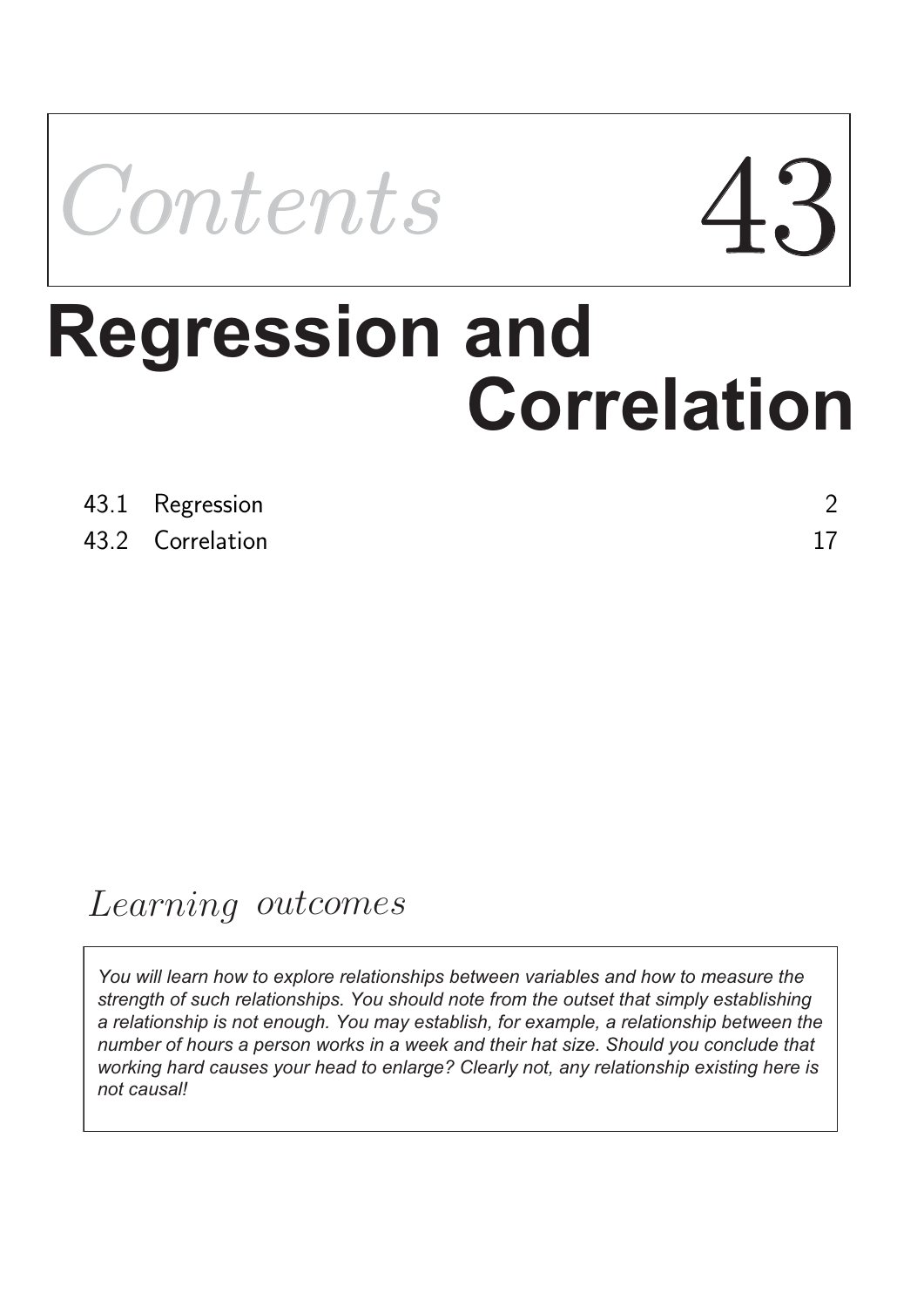

# **Correlation Regression and**

#### 43.1 Regression 2

43.2 Correlation 17

## Learning outcomes

*You will learn how to explore relationships between variables and how to measure the strength of such relationships. You should note from the outset that simply establishing a relationship is not enough. You may establish, for example, a relationship between the number of hours a person works in a week and their hat size. Should you conclude that working hard causes your head to enlarge? Clearly not, any relationship existing here is not causal!*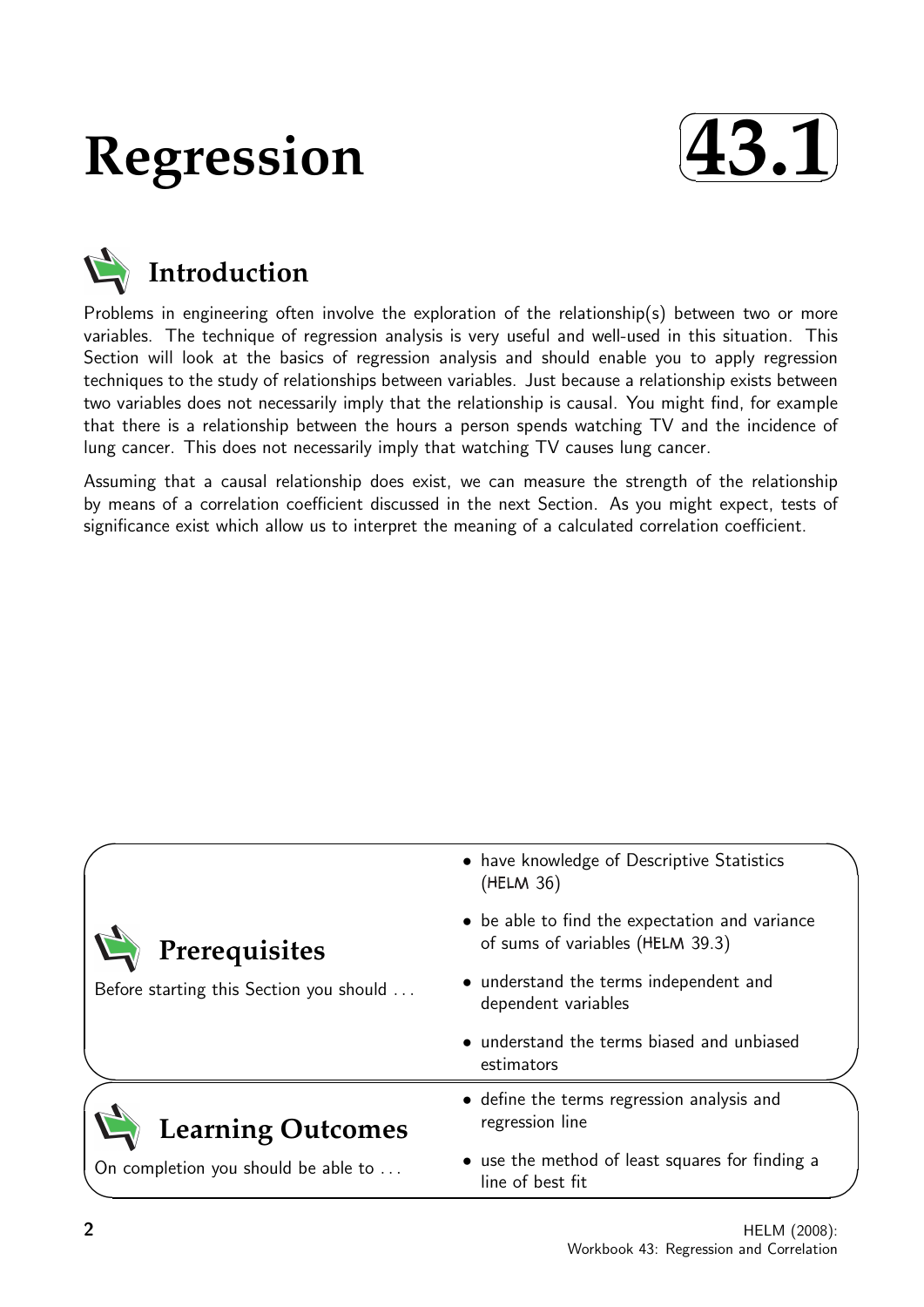## **Regression**





Problems in engineering often involve the exploration of the relationship(s) between two or more variables. The technique of regression analysis is very useful and well-used in this situation. This Section will look at the basics of regression analysis and should enable you to apply regression techniques to the study of relationships between variables. Just because a relationship exists between two variables does not necessarily imply that the relationship is causal. You might find, for example that there is a relationship between the hours a person spends watching TV and the incidence of lung cancer. This does not necessarily imply that watching TV causes lung cancer.

Assuming that a causal relationship does exist, we can measure the strength of the relationship by means of a correlation coefficient discussed in the next Section. As you might expect, tests of significance exist which allow us to interpret the meaning of a calculated correlation coefficient.

| Prerequisites<br>Before starting this Section you should | • have knowledge of Descriptive Statistics<br>(HELM 36)                            |  |  |  |  |
|----------------------------------------------------------|------------------------------------------------------------------------------------|--|--|--|--|
|                                                          | • be able to find the expectation and variance<br>of sums of variables (HELM 39.3) |  |  |  |  |
|                                                          | • understand the terms independent and<br>dependent variables                      |  |  |  |  |
|                                                          | • understand the terms biased and unbiased<br>estimators                           |  |  |  |  |
| <b>Learning Outcomes</b>                                 | • define the terms regression analysis and<br>regression line                      |  |  |  |  |
| On completion you should be able to                      | • use the method of least squares for finding a<br>line of best fit                |  |  |  |  |
|                                                          |                                                                                    |  |  |  |  |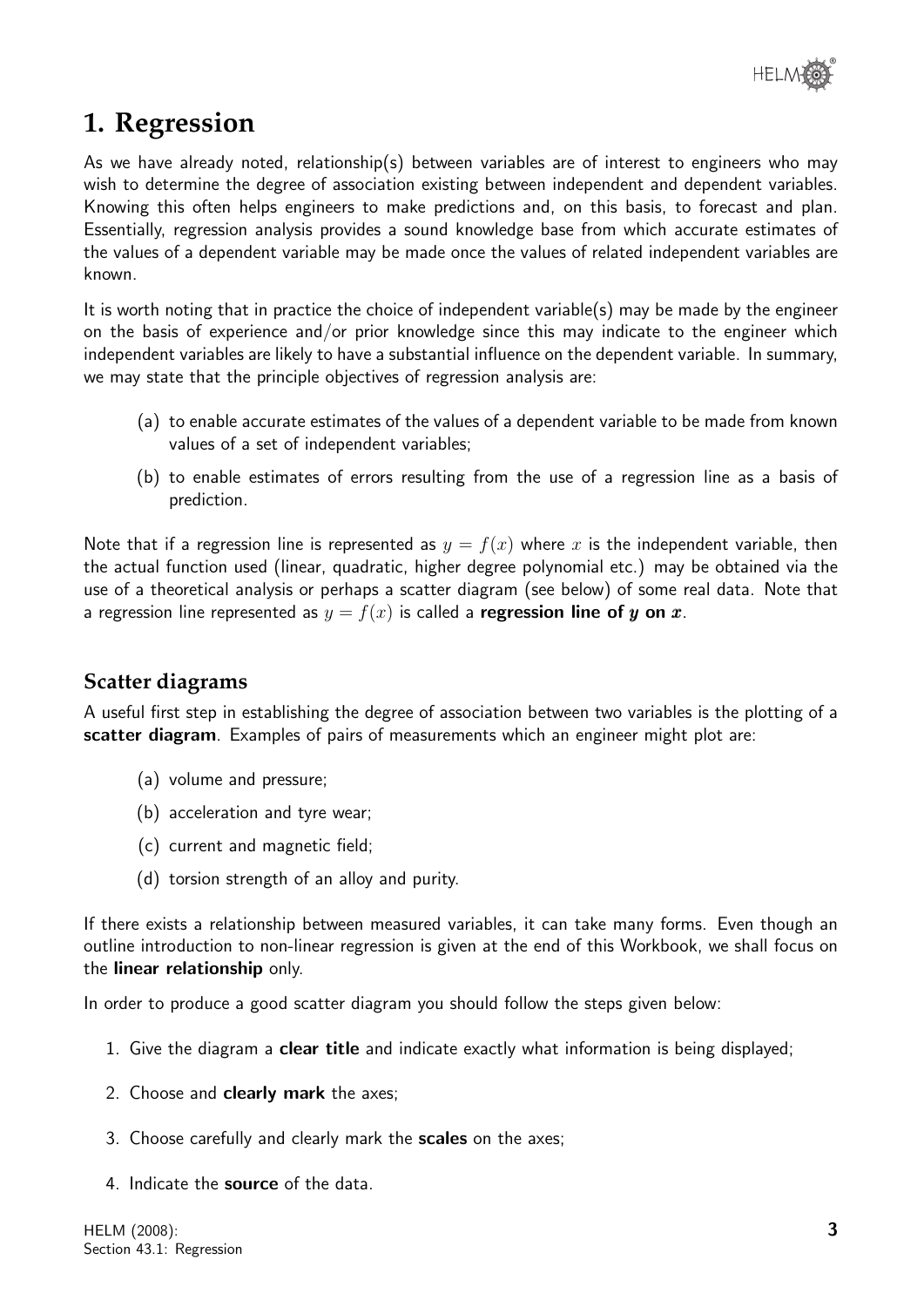### **1. Regression**

As we have already noted, relationship(s) between variables are of interest to engineers who may wish to determine the degree of association existing between independent and dependent variables. Knowing this often helps engineers to make predictions and, on this basis, to forecast and plan. Essentially, regression analysis provides a sound knowledge base from which accurate estimates of the values of a dependent variable may be made once the values of related independent variables are known.

It is worth noting that in practice the choice of independent variable(s) may be made by the engineer on the basis of experience and/or prior knowledge since this may indicate to the engineer which independent variables are likely to have a substantial influence on the dependent variable. In summary, we may state that the principle objectives of regression analysis are:

- (a) to enable accurate estimates of the values of a dependent variable to be made from known values of a set of independent variables;
- (b) to enable estimates of errors resulting from the use of a regression line as a basis of prediction.

Note that if a regression line is represented as  $y = f(x)$  where x is the independent variable, then the actual function used (linear, quadratic, higher degree polynomial etc.) may be obtained via the use of a theoretical analysis or perhaps a scatter diagram (see below) of some real data. Note that a regression line represented as  $y = f(x)$  is called a **regression line of y on x**.

#### **Scatter diagrams**

A useful first step in establishing the degree of association between two variables is the plotting of a scatter diagram. Examples of pairs of measurements which an engineer might plot are:

- (a) volume and pressure;
- (b) acceleration and tyre wear;
- (c) current and magnetic field;
- (d) torsion strength of an alloy and purity.

If there exists a relationship between measured variables, it can take many forms. Even though an outline introduction to non-linear regression is given at the end of this Workbook, we shall focus on the linear relationship only.

In order to produce a good scatter diagram you should follow the steps given below:

- 1. Give the diagram a clear title and indicate exactly what information is being displayed;
- 2. Choose and clearly mark the axes;
- 3. Choose carefully and clearly mark the scales on the axes;
- 4. Indicate the source of the data.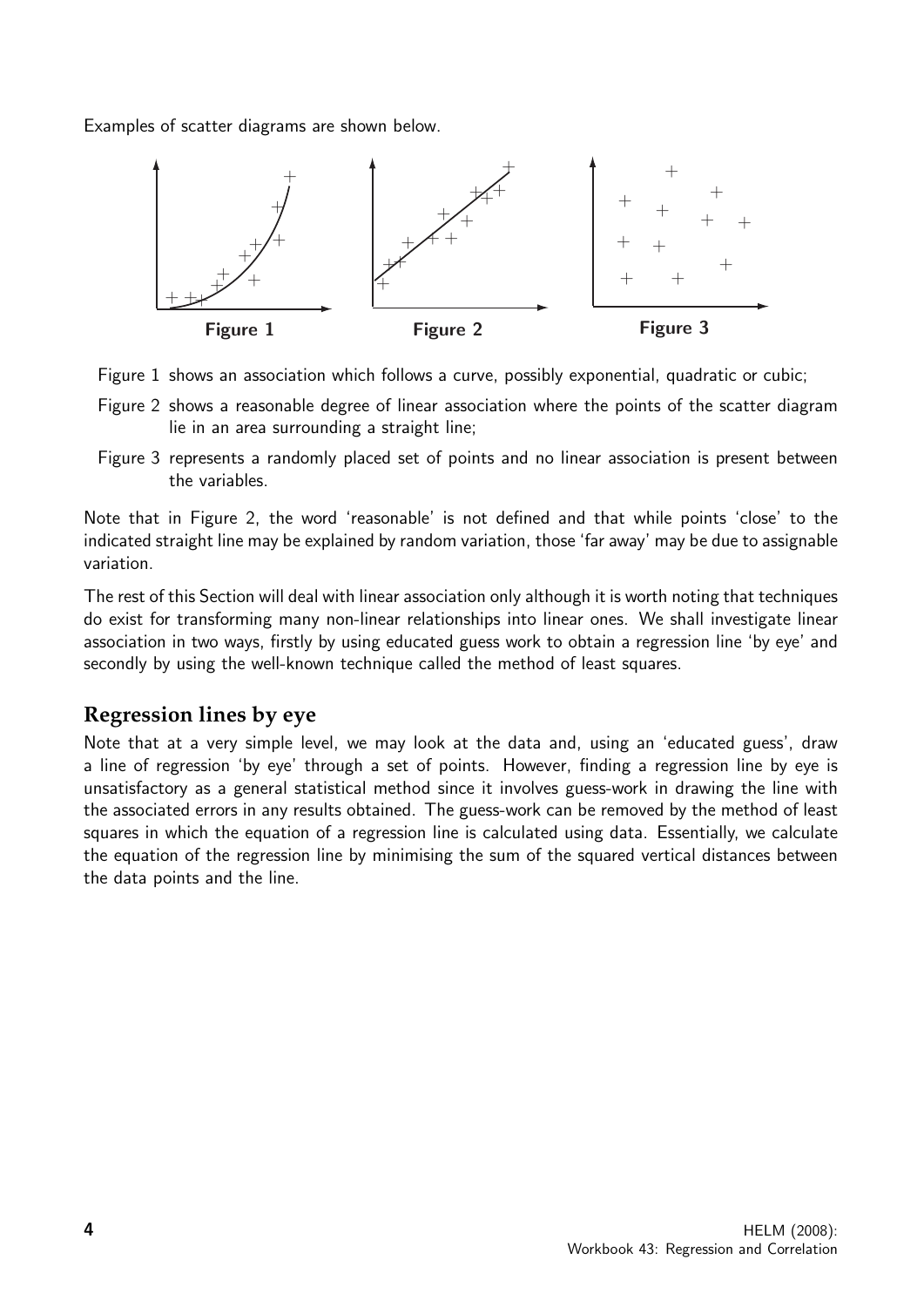Examples of scatter diagrams are shown below.



- Figure 1 shows an association which follows a curve, possibly exponential, quadratic or cubic;
- Figure 2 shows a reasonable degree of linear association where the points of the scatter diagram lie in an area surrounding a straight line;
- Figure 3 represents a randomly placed set of points and no linear association is present between the variables.

Note that in Figure 2, the word 'reasonable' is not defined and that while points 'close' to the indicated straight line may be explained by random variation, those 'far away' may be due to assignable variation.

The rest of this Section will deal with linear association only although it is worth noting that techniques do exist for transforming many non-linear relationships into linear ones. We shall investigate linear association in two ways, firstly by using educated guess work to obtain a regression line 'by eye' and secondly by using the well-known technique called the method of least squares.

#### **Regression lines by eye**

Note that at a very simple level, we may look at the data and, using an 'educated guess', draw a line of regression 'by eye' through a set of points. However, finding a regression line by eye is unsatisfactory as a general statistical method since it involves guess-work in drawing the line with the associated errors in any results obtained. The guess-work can be removed by the method of least squares in which the equation of a regression line is calculated using data. Essentially, we calculate the equation of the regression line by minimising the sum of the squared vertical distances between the data points and the line.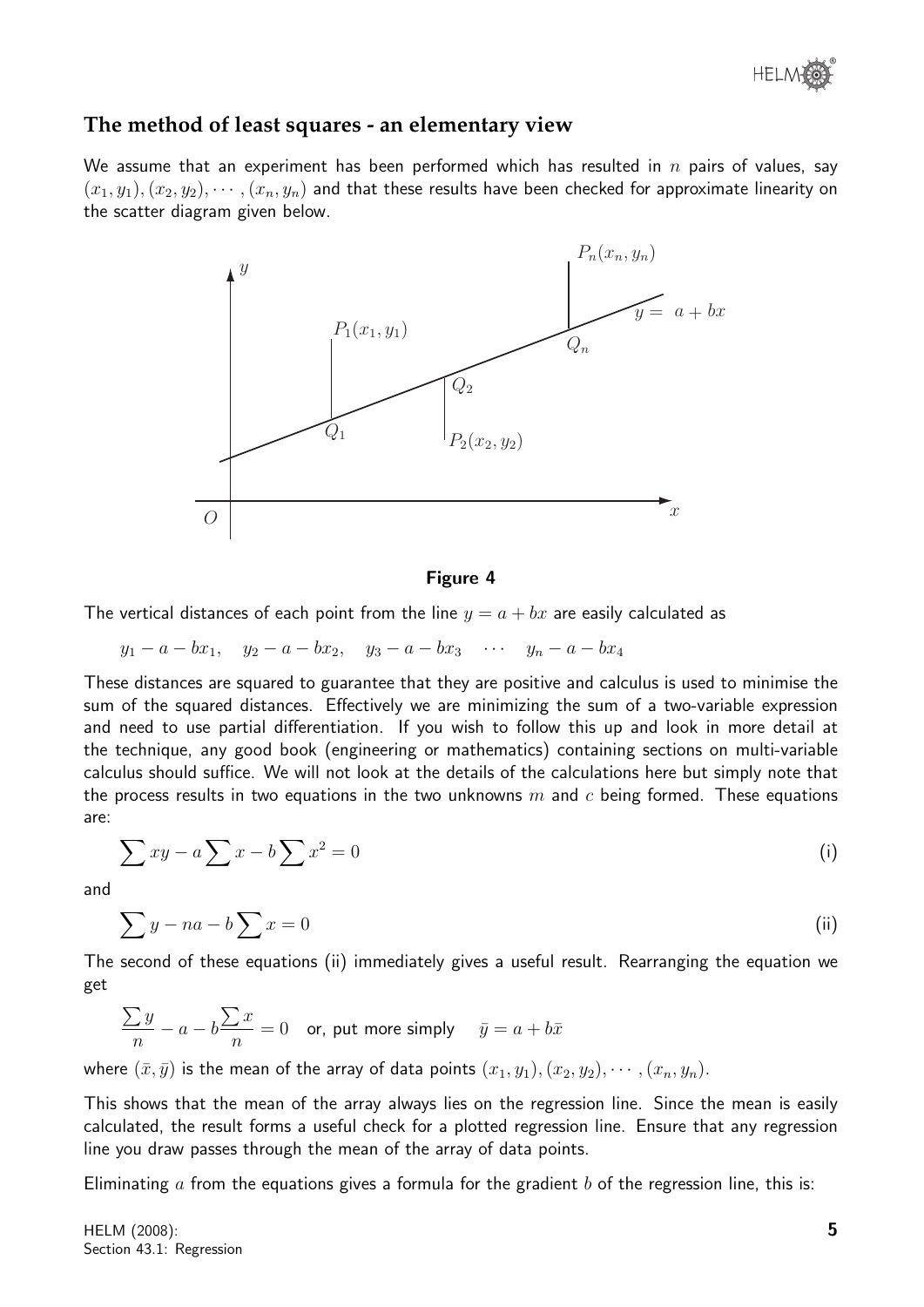

#### **The method of least squares - an elementary view**

We assume that an experiment has been performed which has resulted in  $n$  pairs of values, say  $(x_1, y_1), (x_2, y_2), \cdots, (x_n, y_n)$  and that these results have been checked for approximate linearity on the scatter diagram given below.



#### Figure 4

The vertical distances of each point from the line  $y = a + bx$  are easily calculated as

$$
y_1 - a - bx_1
$$
,  $y_2 - a - bx_2$ ,  $y_3 - a - bx_3$  ...  $y_n - a - bx_4$ 

These distances are squared to guarantee that they are positive and calculus is used to minimise the sum of the squared distances. Effectively we are minimizing the sum of a two-variable expression and need to use partial differentiation. If you wish to follow this up and look in more detail at the technique, any good book (engineering or mathematics) containing sections on multi-variable calculus should suffice. We will not look at the details of the calculations here but simply note that the process results in two equations in the two unknowns  $m$  and  $c$  being formed. These equations are:

$$
\sum xy - a \sum x - b \sum x^2 = 0 \tag{i}
$$

and

$$
\sum y - na - b \sum x = 0 \tag{ii}
$$

The second of these equations (ii) immediately gives a useful result. Rearranging the equation we get

$$
\frac{\sum y}{n} - a - b \frac{\sum x}{n} = 0
$$
 or, put more simply  $\bar{y} = a + b\bar{x}$ 

where  $(\bar{x}, \bar{y})$  is the mean of the array of data points  $(x_1, y_1), (x_2, y_2), \cdots, (x_n, y_n)$ .

This shows that the mean of the array always lies on the regression line. Since the mean is easily calculated, the result forms a useful check for a plotted regression line. Ensure that any regression line you draw passes through the mean of the array of data points.

Eliminating a from the equations gives a formula for the gradient b of the regression line, this is:

HELM (2008): Section 43.1: Regression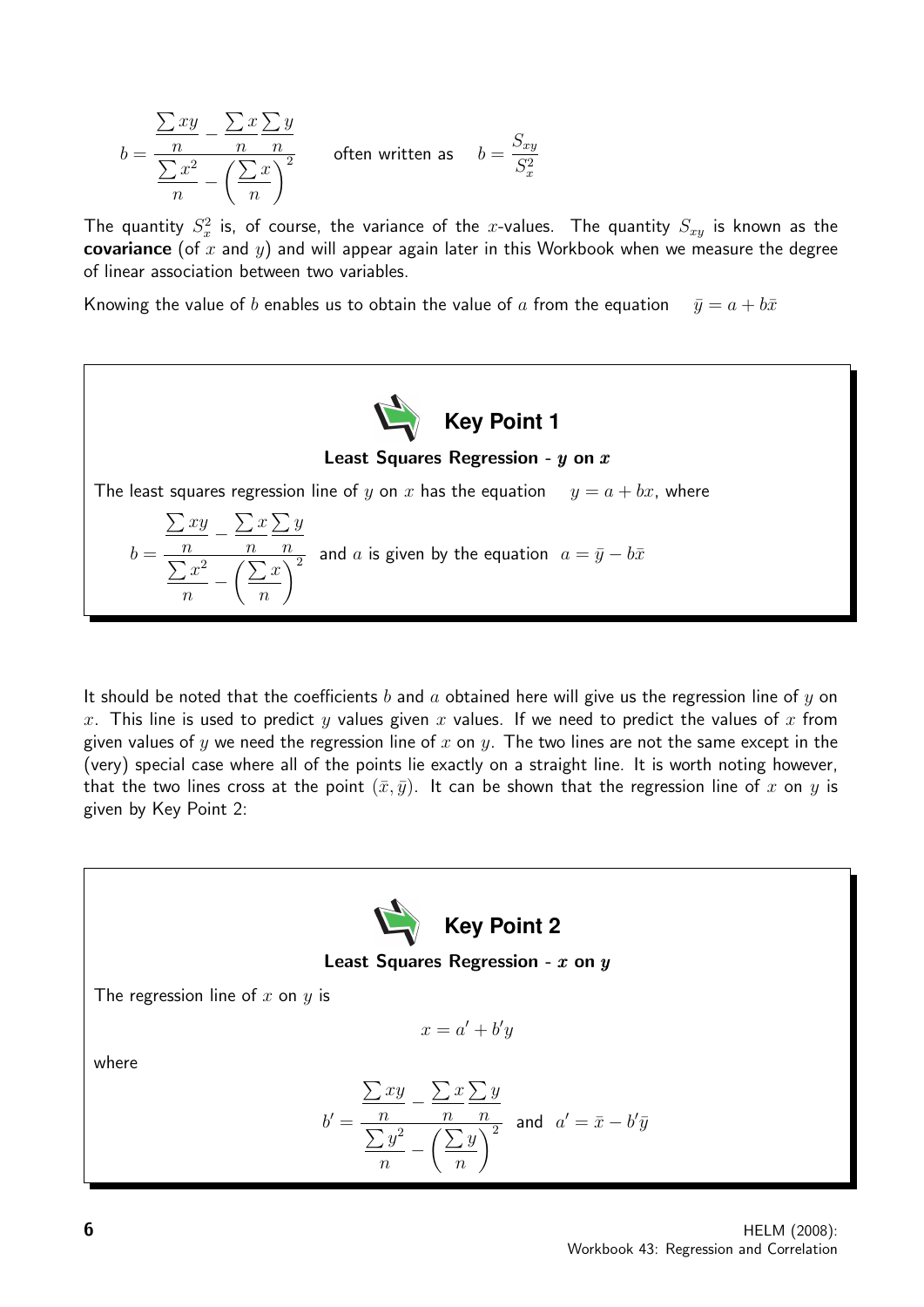$$
b = \frac{\sum xy}{\sum n} - \frac{\sum x \sum y}{n}
$$
 often written as  $b = \frac{S_{xy}}{S_x^2}$ 

The quantity  $S_x^2$  is, of course, the variance of the x-values. The quantity  $S_{xy}$  is known as the covariance (of  $x$  and  $y$ ) and will appear again later in this Workbook when we measure the degree of linear association between two variables.

Knowing the value of b enables us to obtain the value of a from the equation  $\bar{y} = a + b\bar{x}$ 



It should be noted that the coefficients b and a obtained here will give us the regression line of y on x. This line is used to predict y values given x values. If we need to predict the values of x from given values of y we need the regression line of x on y. The two lines are not the same except in the (very) special case where all of the points lie exactly on a straight line. It is worth noting however, that the two lines cross at the point  $(\bar{x}, \bar{y})$ . It can be shown that the regression line of x on y is given by Key Point 2:

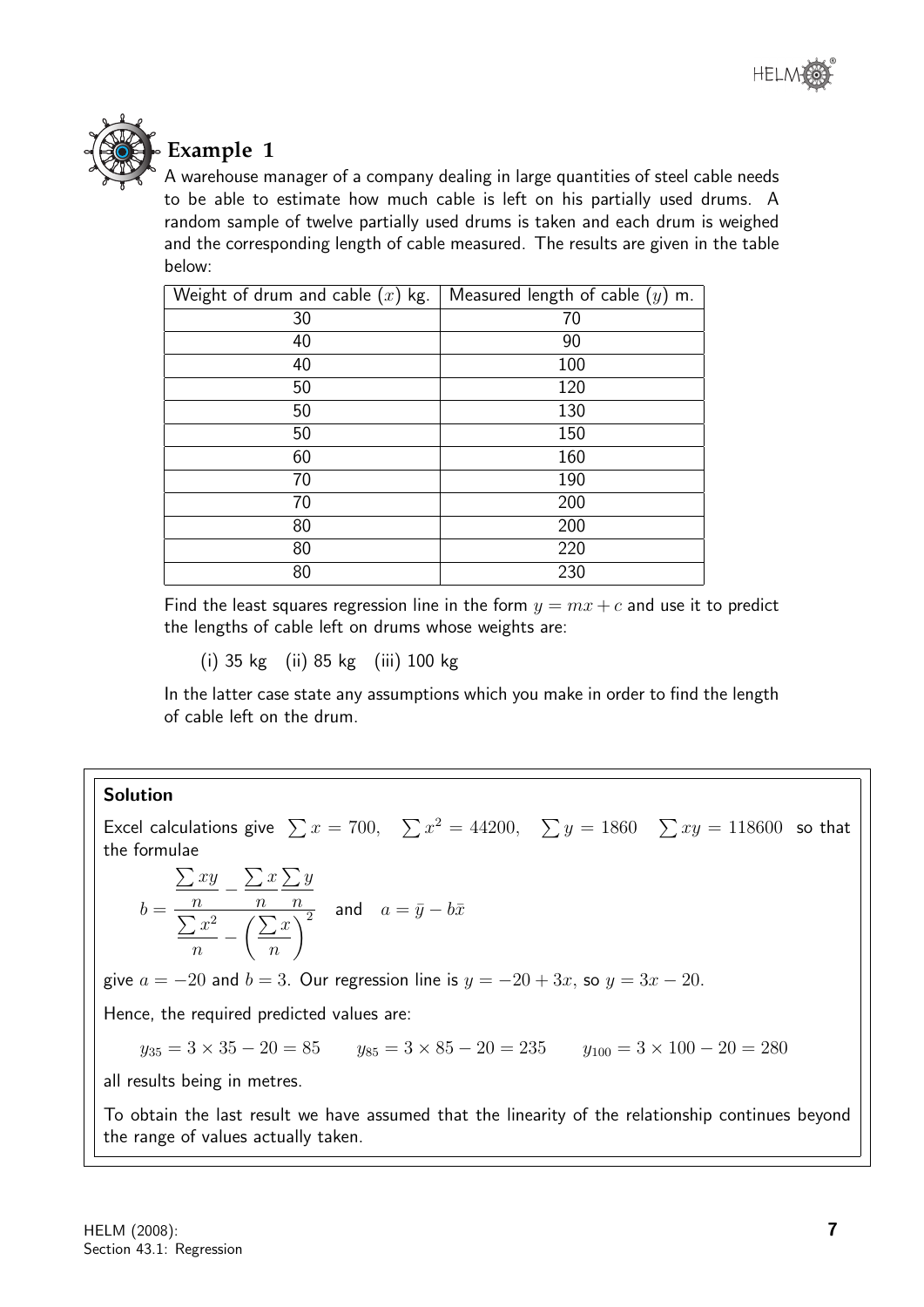

## **Example 1**

A warehouse manager of a company dealing in large quantities of steel cable needs to be able to estimate how much cable is left on his partially used drums. A random sample of twelve partially used drums is taken and each drum is weighed and the corresponding length of cable measured. The results are given in the table below:

| Weight of drum and cable $(x)$ kg. | Measured length of cable $(y)$ m. |  |  |
|------------------------------------|-----------------------------------|--|--|
| 30                                 | 70                                |  |  |
| 40                                 | 90                                |  |  |
| 40                                 | 100                               |  |  |
| 50                                 | 120                               |  |  |
| 50                                 | 130                               |  |  |
| 50                                 | 150                               |  |  |
| 60                                 | 160                               |  |  |
| 70                                 | 190                               |  |  |
| 70                                 | 200                               |  |  |
| 80                                 | 200                               |  |  |
| 80                                 | 220                               |  |  |
| 80                                 | 230                               |  |  |

Find the least squares regression line in the form  $y = mx + c$  and use it to predict the lengths of cable left on drums whose weights are:

(i) 35 kg (ii) 85 kg (iii) 100 kg

In the latter case state any assumptions which you make in order to find the length of cable left on the drum.

#### Solution

Excel calculations give  $\sum x = 700$ ,  $\sum x^2 = 44200$ ,  $\sum y = 1860$   $\sum xy = 118600$  so that the formulae

$$
b = \frac{\sum xy}{\sum n} - \frac{\sum x \sum y}{n}
$$
 and  $a = \bar{y} - b\bar{x}$ 

give  $a = -20$  and  $b = 3$ . Our regression line is  $y = -20 + 3x$ , so  $y = 3x - 20$ .

Hence, the required predicted values are:

 $y_{35} = 3 \times 35 - 20 = 85$   $y_{85} = 3 \times 85 - 20 = 235$   $y_{100} = 3 \times 100 - 20 = 280$ 

all results being in metres.

To obtain the last result we have assumed that the linearity of the relationship continues beyond the range of values actually taken.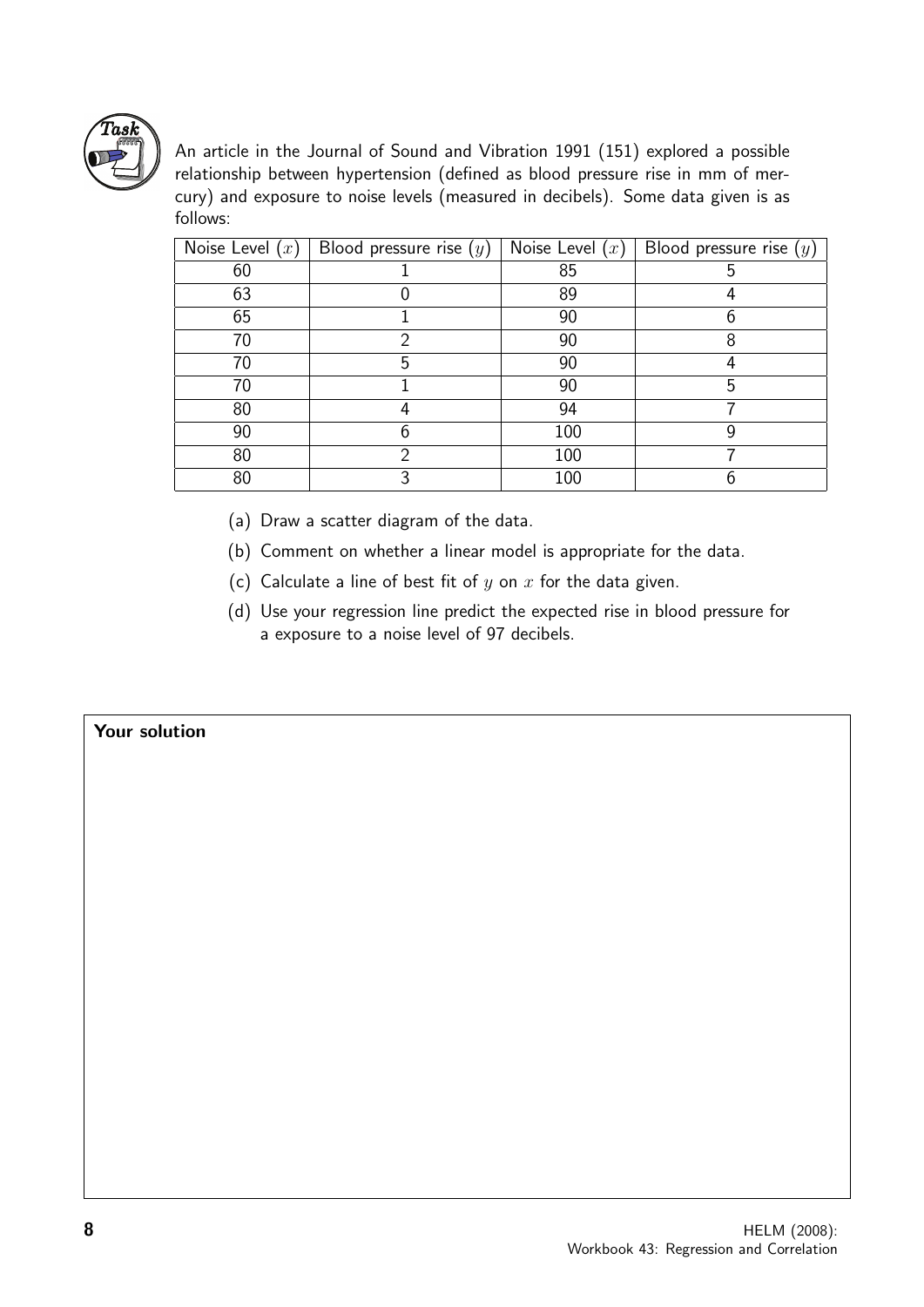

An article in the Journal of Sound and Vibration 1991 (151) explored a possible relationship between hypertension (defined as blood pressure rise in mm of mercury) and exposure to noise levels (measured in decibels). Some data given is as follows:

| Noise Level $(x)$ | Blood pressure rise $(y)$ | Noise Level $(x)$ | Blood pressure rise $(y)$ |  |
|-------------------|---------------------------|-------------------|---------------------------|--|
| 60                |                           | 85                | 5                         |  |
| 63                |                           | 89                |                           |  |
| 65                |                           | 90                |                           |  |
| 70                | ∩                         | 90                | 8                         |  |
| 70                | 5                         | 90                |                           |  |
| 70                |                           | 90                | 5                         |  |
| 80                |                           | 94                |                           |  |
| 90                | h                         | 100               | g                         |  |
| 80                | 2                         | 100               |                           |  |
| 80                | ર                         | 100               |                           |  |

- (a) Draw a scatter diagram of the data.
- (b) Comment on whether a linear model is appropriate for the data.
- (c) Calculate a line of best fit of  $y$  on  $x$  for the data given.
- (d) Use your regression line predict the expected rise in blood pressure for a exposure to a noise level of 97 decibels.

#### Your solution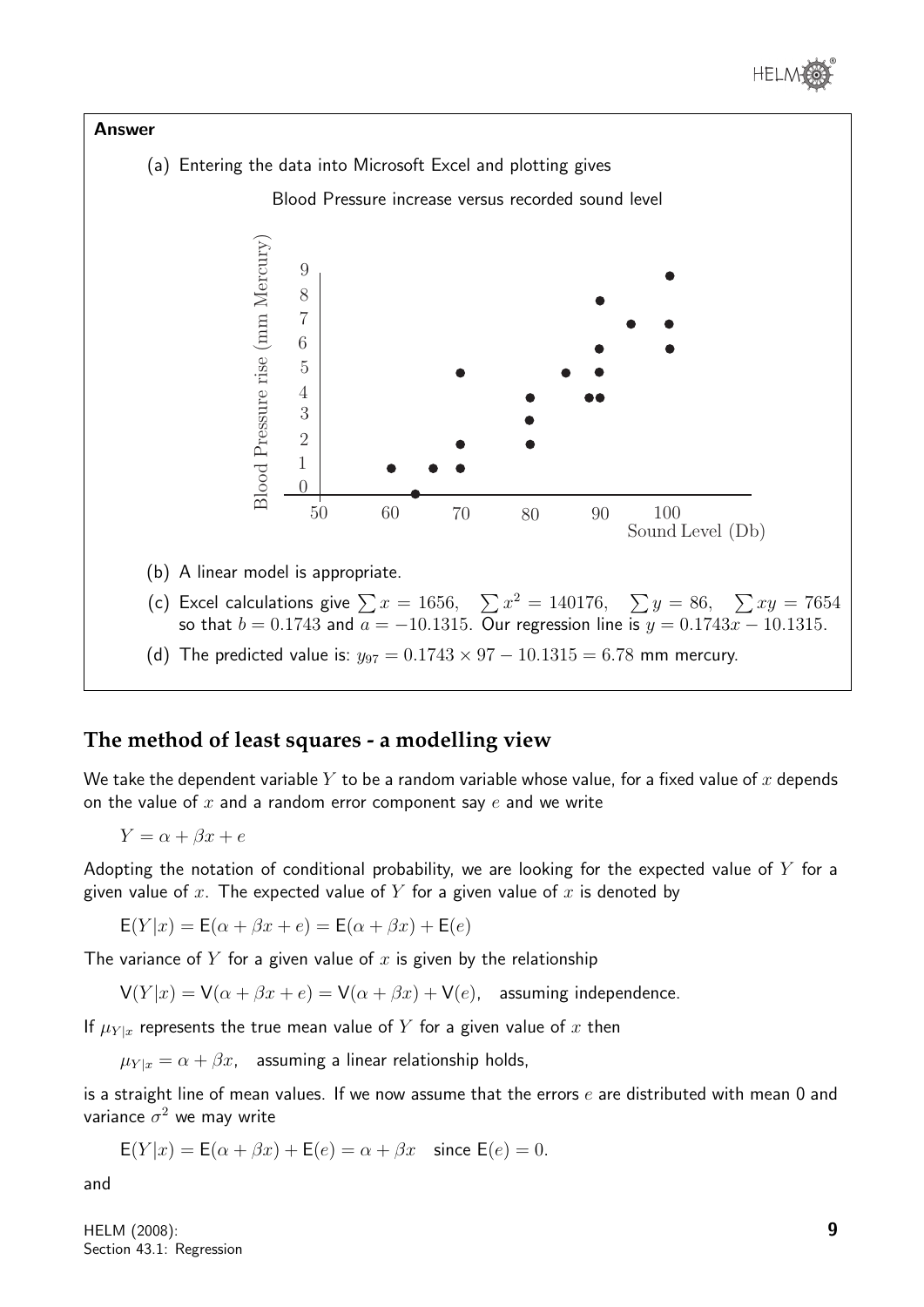



#### **The method of least squares - a modelling view**

We take the dependent variable Y to be a random variable whose value, for a fixed value of x depends on the value of  $x$  and a random error component say  $e$  and we write

$$
Y = \alpha + \beta x + e
$$

Adopting the notation of conditional probability, we are looking for the expected value of  $Y$  for a given value of x. The expected value of Y for a given value of x is denoted by

$$
\mathsf{E}(Y|x) = \mathsf{E}(\alpha + \beta x + e) = \mathsf{E}(\alpha + \beta x) + \mathsf{E}(e)
$$

The variance of Y for a given value of x is given by the relationship

$$
V(Y|x) = V(\alpha + \beta x + e) = V(\alpha + \beta x) + V(e),
$$
 assuming independence.

If  $\mu_{Y|x}$  represents the true mean value of Y for a given value of x then

 $\mu_{Y|x} = \alpha + \beta x$ , assuming a linear relationship holds,

is a straight line of mean values. If we now assume that the errors  $e$  are distributed with mean 0 and variance  $\sigma^2$  we may write

$$
E(Y|x) = E(\alpha + \beta x) + E(e) = \alpha + \beta x \quad \text{since } E(e) = 0.
$$

and

HELM (2008): Section 43.1: Regression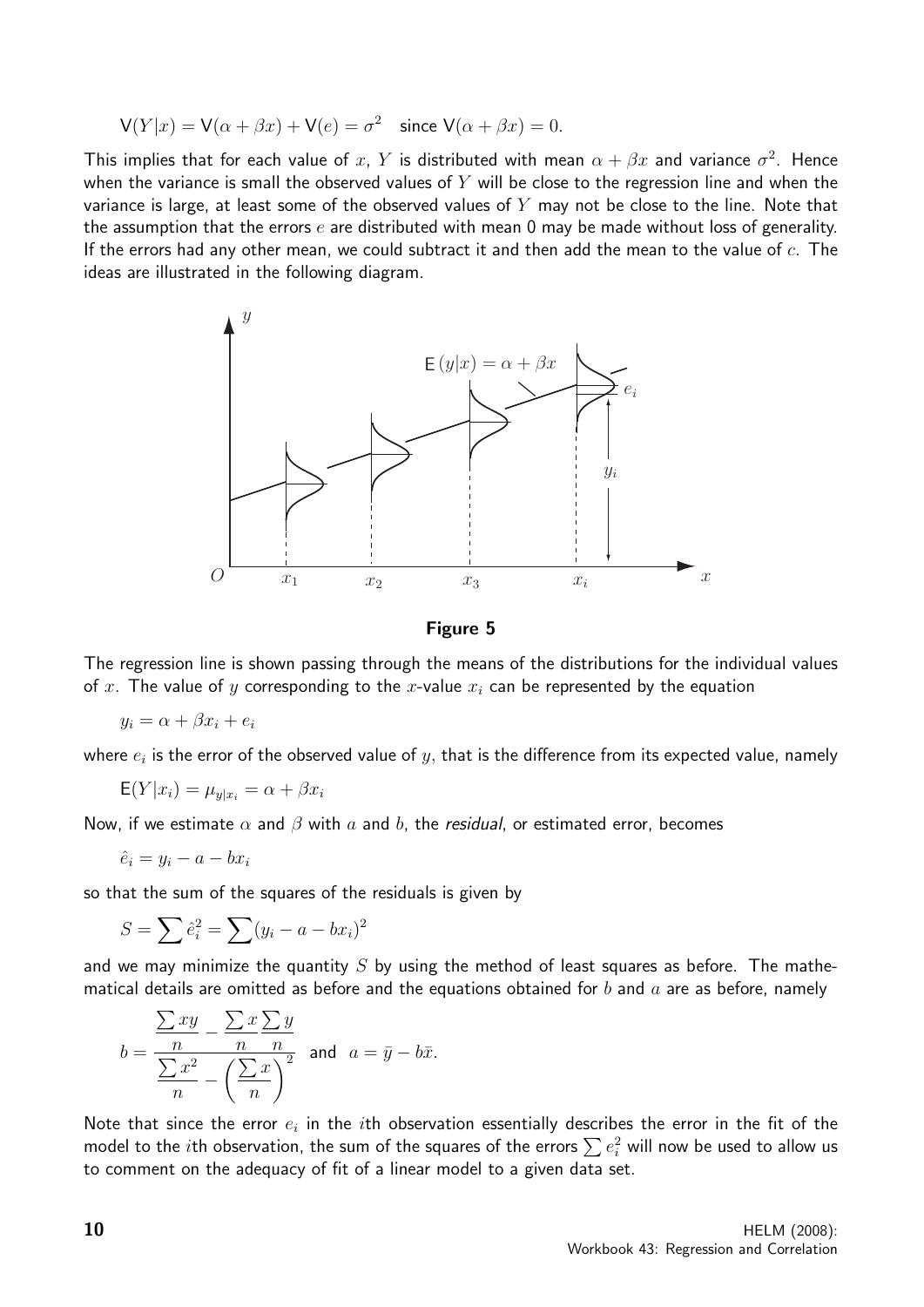$$
V(Y|x) = V(\alpha + \beta x) + V(e) = \sigma^2 \quad \text{since } V(\alpha + \beta x) = 0.
$$

This implies that for each value of x, Y is distributed with mean  $\alpha+\beta x$  and variance  $\sigma^2$ . Hence when the variance is small the observed values of  $Y$  will be close to the regression line and when the variance is large, at least some of the observed values of  $Y$  may not be close to the line. Note that the assumption that the errors  $e$  are distributed with mean 0 may be made without loss of generality. If the errors had any other mean, we could subtract it and then add the mean to the value of  $c$ . The ideas are illustrated in the following diagram.





The regression line is shown passing through the means of the distributions for the individual values of x. The value of y corresponding to the x-value  $x_i$  can be represented by the equation

$$
y_i = \alpha + \beta x_i + e_i
$$

where  $e_i$  is the error of the observed value of  $y,$  that is the difference from its expected value, namely

$$
\mathsf{E}(Y|x_i) = \mu_{y|x_i} = \alpha + \beta x_i
$$

Now, if we estimate  $\alpha$  and  $\beta$  with  $\alpha$  and  $\beta$ , the *residual*, or estimated error, becomes

$$
\hat{e}_i = y_i - a - bx_i
$$

so that the sum of the squares of the residuals is given by

$$
S = \sum \hat{e}_i^2 = \sum (y_i - a - bx_i)^2
$$

and we may minimize the quantity S by using the method of least squares as before. The mathematical details are omitted as before and the equations obtained for b and a are as before, namely

$$
b = \frac{\sum xy}{\sum n} - \frac{\sum x \sum y}{n}
$$
 and  $a = \bar{y} - b\bar{x}$ .

Note that since the error  $e_i$  in the ith observation essentially describes the error in the fit of the model to the  $i$ th observation, the sum of the squares of the errors  $\sum e_i^2$  will now be used to allow us to comment on the adequacy of fit of a linear model to a given data set.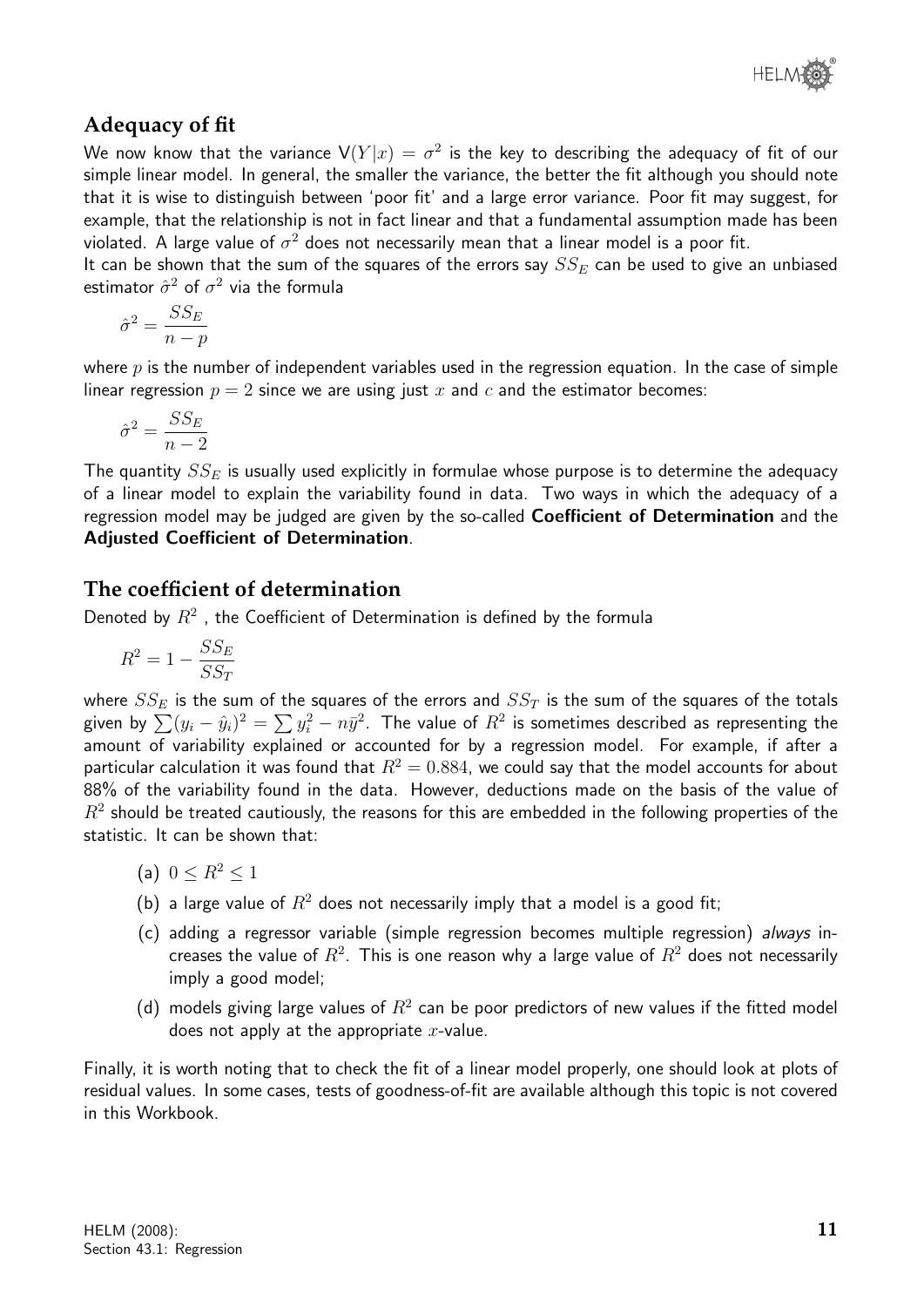#### **Adequacy of fit**

We now know that the variance  $\mathsf{V}(Y|x) = \sigma^2$  is the key to describing the adequacy of fit of our simple linear model. In general, the smaller the variance, the better the fit although you should note that it is wise to distinguish between 'poor fit' and a large error variance. Poor fit may suggest, for example, that the relationship is not in fact linear and that a fundamental assumption made has been violated. A large value of  $\sigma^2$  does not necessarily mean that a linear model is a poor fit.

It can be shown that the sum of the squares of the errors say  $SS_E$  can be used to give an unbiased estimator  $\hat{\sigma}^2$  of  $\sigma^2$  via the formula

$$
\hat{\sigma}^2 = \frac{SS_E}{n-p}
$$

where  $p$  is the number of independent variables used in the regression equation. In the case of simple linear regression  $p = 2$  since we are using just x and c and the estimator becomes:

$$
\hat{\sigma}^2 = \frac{SS_E}{n-2}
$$

The quantity  $SS_E$  is usually used explicitly in formulae whose purpose is to determine the adequacy of a linear model to explain the variability found in data. Two ways in which the adequacy of a regression model may be judged are given by the so-called **Coefficient of Determination** and the Adjusted Coefficient of Determination.

#### **The coefficient of determination**

Denoted by  $R^2$ , the Coefficient of Determination is defined by the formula

$$
R^2 = 1 - \frac{SS_E}{SS_T}
$$

where  $SS_E$  is the sum of the squares of the errors and  $SS_T$  is the sum of the squares of the totals given by  $\sum (y_i - \hat{y}_i)^2 = \sum y_i^2 - n\bar{y}^2$ . The value of  $R^2$  is sometimes described as representing the amount of variability explained or accounted for by a regression model. For example, if after a particular calculation it was found that  $R^2 = 0.884$ , we could say that the model accounts for about 88% of the variability found in the data. However, deductions made on the basis of the value of  $R^2$  should be treated cautiously, the reasons for this are embedded in the following properties of the statistic. It can be shown that:

- (a)  $0 \le R^2 \le 1$
- (b) a large value of  $R^2$  does not necessarily imply that a model is a good fit;
- (c) adding a regressor variable (simple regression becomes multiple regression) always increases the value of  $R^2$ . This is one reason why a large value of  $R^2$  does not necessarily imply a good model;
- (d) models giving large values of  $R^2$  can be poor predictors of new values if the fitted model does not apply at the appropriate  $x$ -value.

Finally, it is worth noting that to check the fit of a linear model properly, one should look at plots of residual values. In some cases, tests of goodness-of-fit are available although this topic is not covered in this Workbook.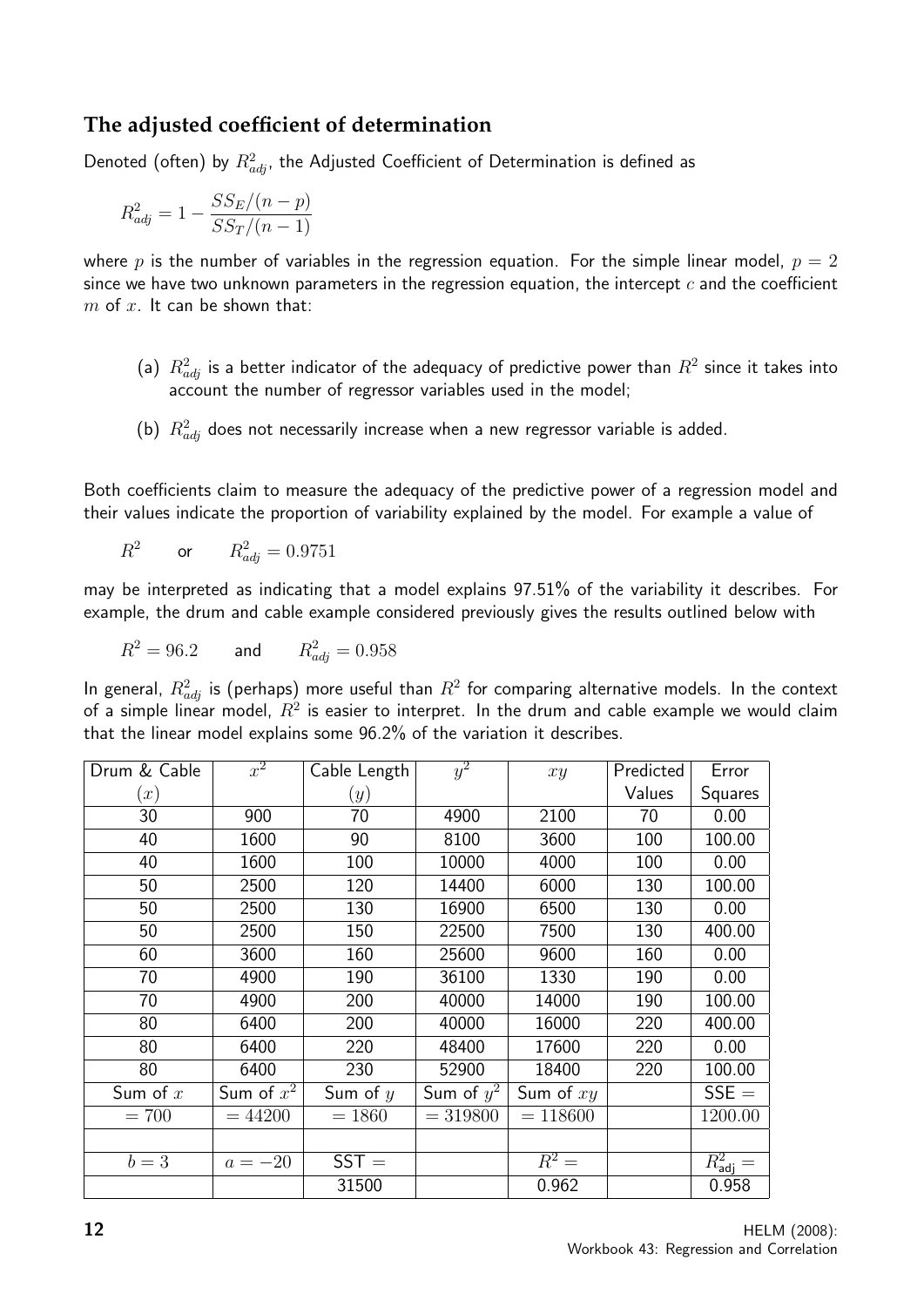#### **The adjusted coefficient of determination**

Denoted (often) by  $R^2_{adj}$ , the Adjusted Coefficient of Determination is defined as

$$
R_{adj}^2 = 1 - \frac{SS_E/(n-p)}{SS_T/(n-1)}
$$

where p is the number of variables in the regression equation. For the simple linear model,  $p = 2$ since we have two unknown parameters in the regression equation, the intercept  $c$  and the coefficient  $m$  of  $x$ . It can be shown that:

- (a)  $\,R^2_{adj}$  is a better indicator of the adequacy of predictive power than  $R^2$  since it takes into account the number of regressor variables used in the model;
- (b)  $R^2_{adj}$  does not necessarily increase when a new regressor variable is added.

Both coefficients claim to measure the adequacy of the predictive power of a regression model and their values indicate the proportion of variability explained by the model. For example a value of

$$
R^2 \qquad \text{or} \qquad R^2_{adj} = 0.9751
$$

may be interpreted as indicating that a model explains 97.51% of the variability it describes. For example, the drum and cable example considered previously gives the results outlined below with

$$
R^2 = 96.2 \qquad \text{and} \qquad R^2_{adj} = 0.958
$$

In general,  $R_{adj}^2$  is (perhaps) more useful than  $R^2$  for comparing alternative models. In the context of a simple linear model,  $R^2$  is easier to interpret. In the drum and cable example we would claim that the linear model explains some 96.2% of the variation it describes.

| Drum & Cable          | $x^2$        | Cable Length | $y^2$        | xy          | Predicted | Error                |
|-----------------------|--------------|--------------|--------------|-------------|-----------|----------------------|
| $\left( x\right)$     |              | (y)          |              |             | Values    | Squares              |
| 30                    | 900          | 70           | 4900         | 2100        | 70        | 0.00                 |
| 40                    | 1600         | 90           | 8100         | 3600        | 100       | 100.00               |
| 40                    | 1600         | 100          | 10000        | 4000        | 100       | 0.00                 |
| 50                    | 2500         | 120          | 14400        | 6000        | 130       | 100.00               |
| 50                    | 2500         | 130          | 16900        | 6500        | 130       | 0.00                 |
| 50                    | 2500         | 150          | 22500        | 7500        | 130       | 400.00               |
| 60                    | 3600         | 160          | 25600        | 9600        | 160       | 0.00                 |
| 70                    | 4900         | 190          | 36100        | 1330        | 190       | 0.00                 |
| 70                    | 4900         | 200          | 40000        | 14000       | 190       | 100.00               |
| 80                    | 6400         | 200          | 40000        | 16000       | 220       | 400.00               |
| 80                    | 6400         | 220          | 48400        | 17600       | 220       | 0.00                 |
| 80                    | 6400         | 230          | 52900        | 18400       | 220       | 100.00               |
| Sum of $\overline{x}$ | Sum of $x^2$ | Sum of $y$   | Sum of $y^2$ | Sum of $xy$ |           | $SSE =$              |
| $= 700$               | $=44200$     | $= 1860$     | $= 319800$   | $= 118600$  |           | 1200.00              |
|                       |              |              |              |             |           |                      |
| $b=3$                 | $a = -20$    | $SST =$      |              | $R^2 =$     |           | $R_{\text{adj}}^2 =$ |
|                       |              | 31500        |              | 0.962       |           | 0.958                |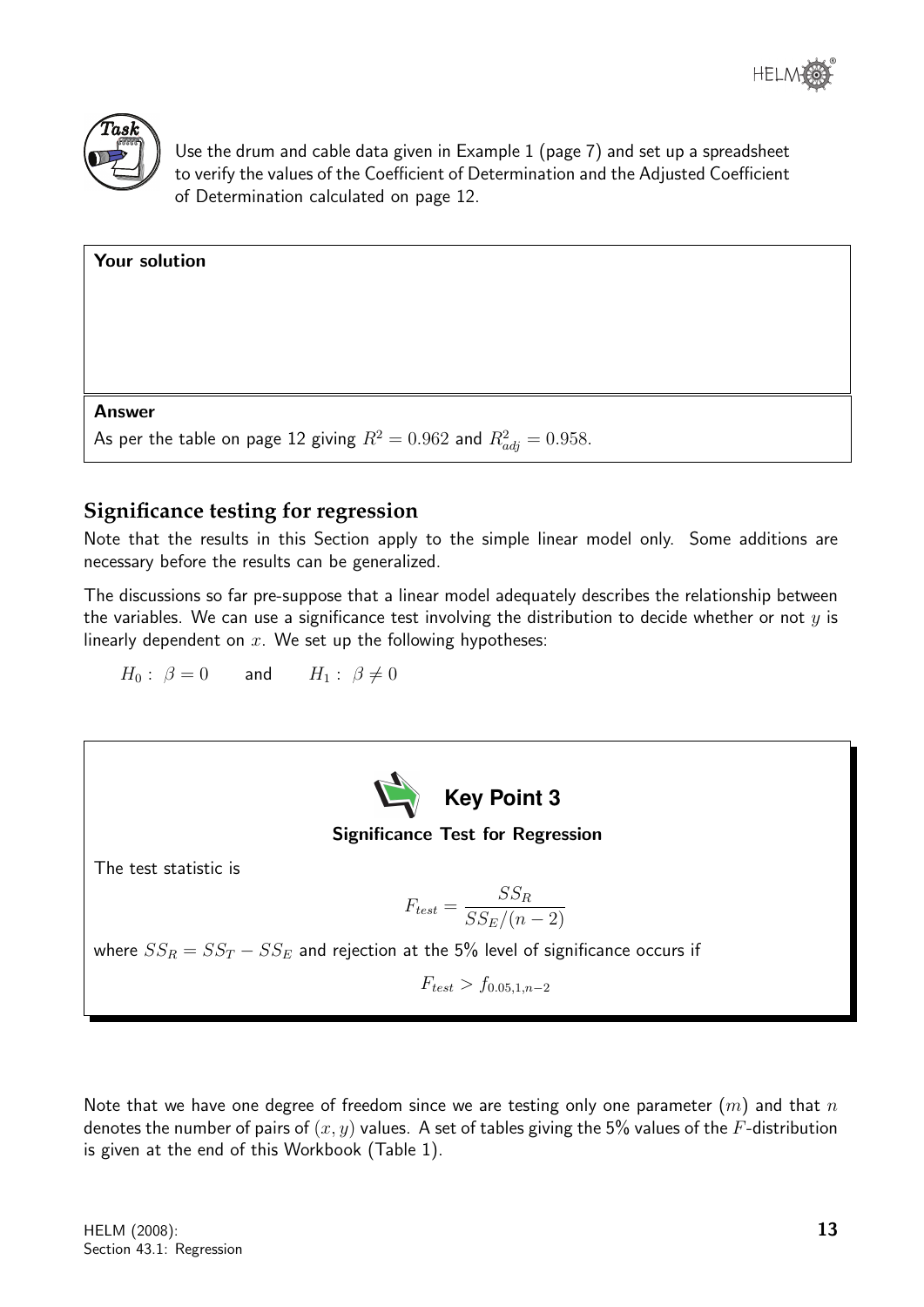



Use the drum and cable data given in Example 1 (page 7) and set up a spreadsheet to verify the values of the Coefficient of Determination and the Adjusted Coefficient of Determination calculated on page 12.

| <b>Your solution</b>                                                       |  |
|----------------------------------------------------------------------------|--|
|                                                                            |  |
|                                                                            |  |
|                                                                            |  |
| <b>Answer</b>                                                              |  |
|                                                                            |  |
| As per the table on page 12 giving $R^2 = 0.962$ and $R^2_{adj} = 0.958$ . |  |

#### **Significance testing for regression**

Note that the results in this Section apply to the simple linear model only. Some additions are necessary before the results can be generalized.

The discussions so far pre-suppose that a linear model adequately describes the relationship between the variables. We can use a significance test involving the distribution to decide whether or not  $y$  is linearly dependent on  $x$ . We set up the following hypotheses:

 $H_0: \ \beta = 0$  and  $H_1: \ \beta \neq 0$ 



Significance Test for Regression

The test statistic is

$$
F_{test} = \frac{SS_R}{SS_E/(n-2)}
$$

where  $SS_R = SS_T - SS_E$  and rejection at the 5% level of significance occurs if

 $F_{test}$  >  $f_{0.05,1,n-2}$ 

Note that we have one degree of freedom since we are testing only one parameter  $(m)$  and that  $n$ denotes the number of pairs of  $(x, y)$  values. A set of tables giving the 5% values of the F-distribution is given at the end of this Workbook (Table 1).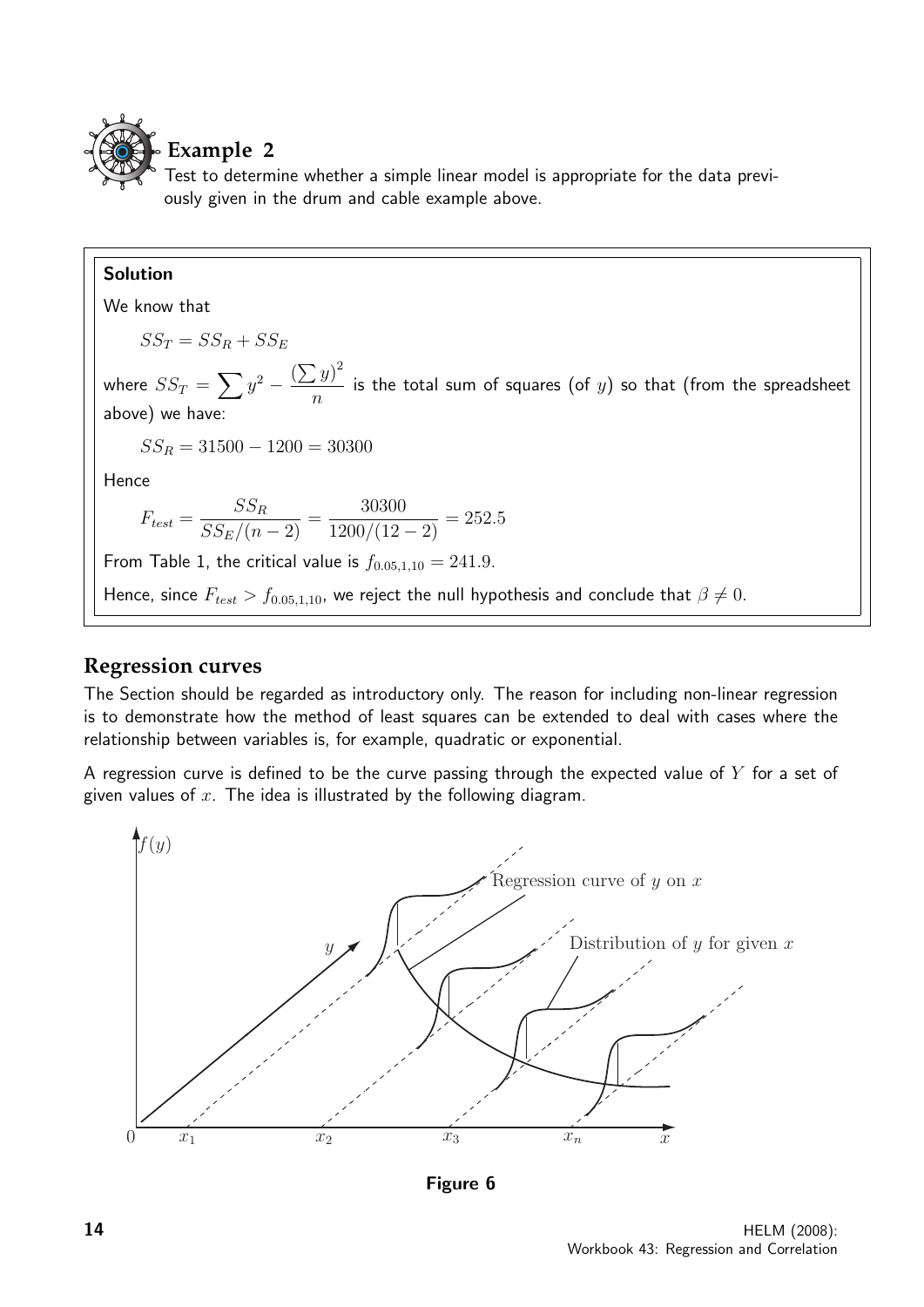

#### **Example 2**

Test to determine whether a simple linear model is appropriate for the data previously given in the drum and cable example above.

#### Solution

We know that

$$
SS_T = SS_R + SS_E
$$

where  $SS_T = \sum y^2 - \frac{(\sum y)^2}{n}$ n is the total sum of squares (of  $y$ ) so that (from the spreadsheet above) we have:

$$
SS_R = 31500 - 1200 = 30300
$$

Hence

$$
F_{test} = \frac{SS_R}{SS_E/(n-2)} = \frac{30300}{1200/(12-2)} = 252.5
$$

From Table 1, the critical value is  $f_{0.05,1,10} = 241.9$ .

Hence, since  $F_{test} > f_{0.05,1,10}$ , we reject the null hypothesis and conclude that  $\beta \neq 0$ .

#### **Regression curves**

The Section should be regarded as introductory only. The reason for including non-linear regression is to demonstrate how the method of least squares can be extended to deal with cases where the relationship between variables is, for example, quadratic or exponential.

A regression curve is defined to be the curve passing through the expected value of  $Y$  for a set of given values of  $x$ . The idea is illustrated by the following diagram.



Figure 6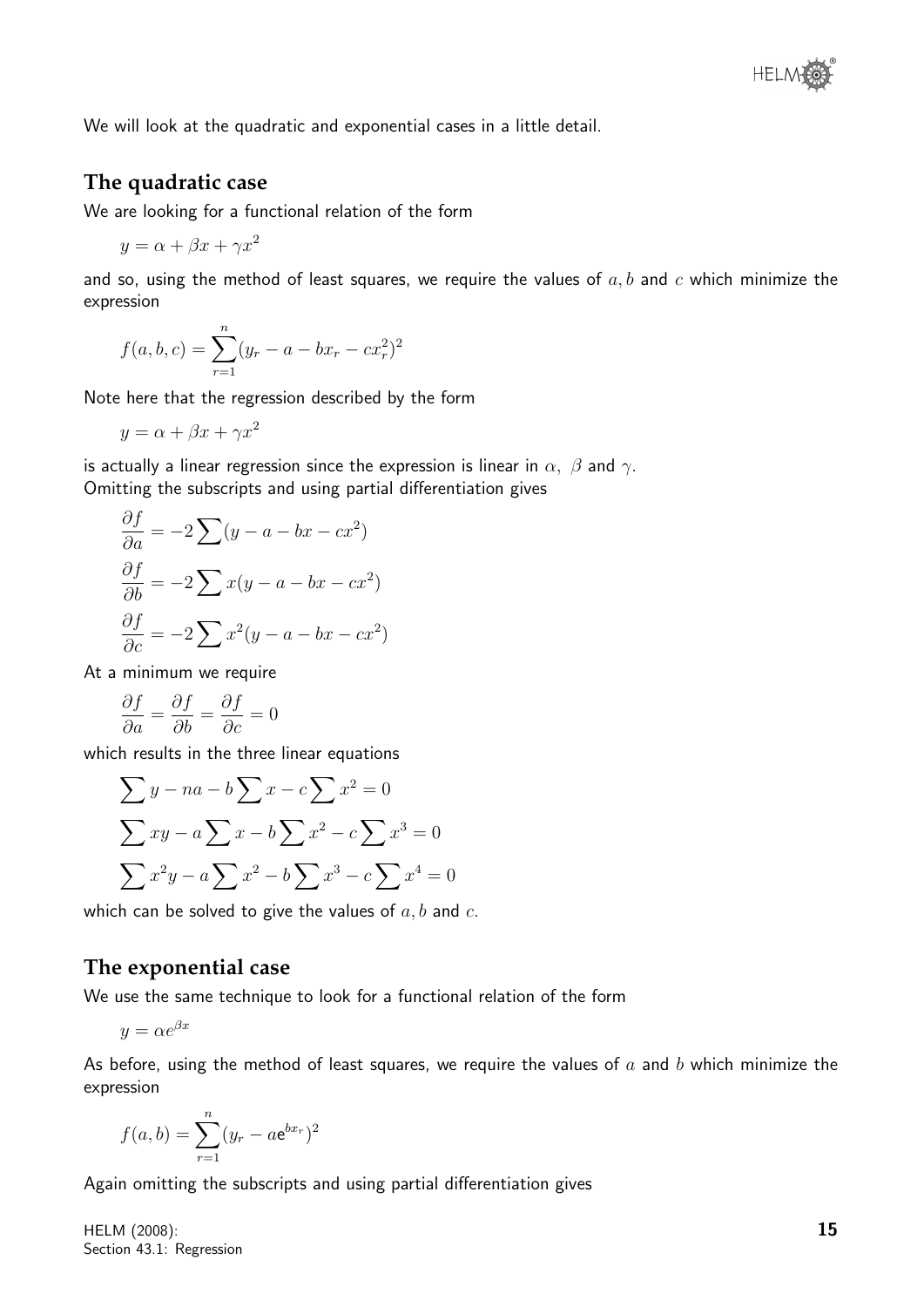We will look at the quadratic and exponential cases in a little detail.

#### **The quadratic case**

We are looking for a functional relation of the form

$$
y = \alpha + \beta x + \gamma x^2
$$

and so, using the method of least squares, we require the values of  $a, b$  and  $c$  which minimize the expression

$$
f(a, b, c) = \sum_{r=1}^{n} (y_r - a - bx_r - cx_r^2)^2
$$

Note here that the regression described by the form

$$
y = \alpha + \beta x + \gamma x^2
$$

∂f

is actually a linear regression since the expression is linear in  $\alpha$ ,  $\beta$  and  $\gamma$ . Omitting the subscripts and using partial differentiation gives

$$
\frac{\partial f}{\partial a} = -2 \sum (y - a - bx - cx^2)
$$

$$
\frac{\partial f}{\partial b} = -2 \sum x(y - a - bx - cx^2)
$$

$$
\frac{\partial f}{\partial c} = -2 \sum x^2(y - a - bx - cx^2)
$$

At a minimum we require

$$
\frac{\partial f}{\partial a} = \frac{\partial f}{\partial b} = \frac{\partial f}{\partial c} = 0
$$

which results in the three linear equations

$$
\sum y - na - b \sum x - c \sum x^2 = 0
$$
  

$$
\sum xy - a \sum x - b \sum x^2 - c \sum x^3 = 0
$$
  

$$
\sum x^2y - a \sum x^2 - b \sum x^3 - c \sum x^4 = 0
$$

which can be solved to give the values of  $a, b$  and  $c$ .

#### **The exponential case**

We use the same technique to look for a functional relation of the form

$$
y = \alpha e^{\beta x}
$$

As before, using the method of least squares, we require the values of  $a$  and  $b$  which minimize the expression

$$
f(a,b) = \sum_{r=1}^{n} (y_r - a e^{bx_r})^2
$$

Again omitting the subscripts and using partial differentiation gives

HELM (2008): Section 43.1: Regression